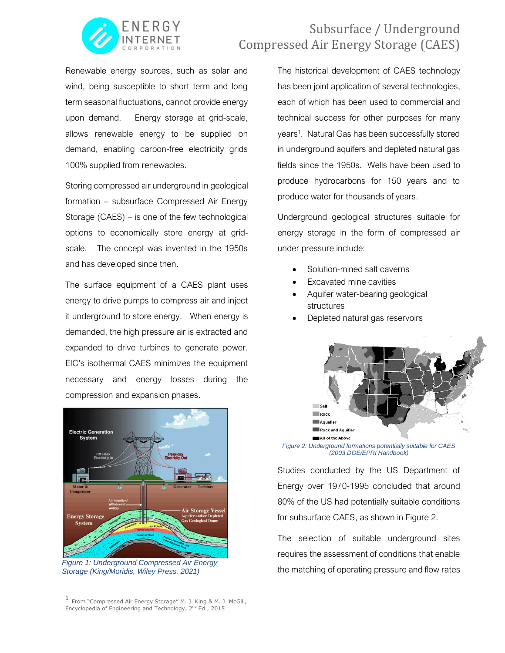

## Subsurface / Underground Compressed Air Energy Storage (CAES)

Renewable energy sources, such as solar and wind, being susceptible to short term and long term seasonal fluctuations, cannot provide energy upon demand. Energy storage at grid-scale, allows renewable energy to be supplied on demand, enabling carbon-free electricity grids 100% supplied from renewables.

Storing compressed air underground in geological formation – subsurface Compressed Air Energy Storage (CAES) – is one of the few technological options to economically store energy at gridscale. The concept was invented in the 1950s and has developed since then.

The surface equipment of a CAES plant uses energy to drive pumps to compress air and inject it underground to store energy. When energy is demanded, the high pressure air is extracted and expanded to drive turbines to generate power. EIC's isothermal CAES minimizes the equipment necessary and energy losses during the compression and expansion phases.



*Figure 1: Underground Compressed Air Energy Storage (King/Moridis, Wiley Press, 2021)*

The historical development of CAES technology has been joint application of several technologies, each of which has been used to commercial and technical success for other purposes for many years<sup>1</sup>. Natural Gas has been successfully stored in underground aquifers and depleted natural gas fields since the 1950s. Wells have been used to produce hydrocarbons for 150 years and to produce water for thousands of years.

Underground geological structures suitable for energy storage in the form of compressed air under pressure include:

- Solution-mined salt caverns
- **Excavated mine cavities**
- Aquifer water-bearing geological structures
- Depleted natural gas reservoirs



*(2003 DOE/EPRI Handbook)*

Studies conducted by the US Department of Energy over 1970-1995 concluded that around 80% of the US had potentially suitable conditions for subsurface CAES, as shown in Figure 2.

The selection of suitable underground sites requires the assessment of conditions that enable the matching of operating pressure and flow rates

<sup>1</sup> From "Compressed Air Energy Storage" M. J. King & M. J. McGill, Encyclopedia of Engineering and Technology, 2nd Ed., 2015